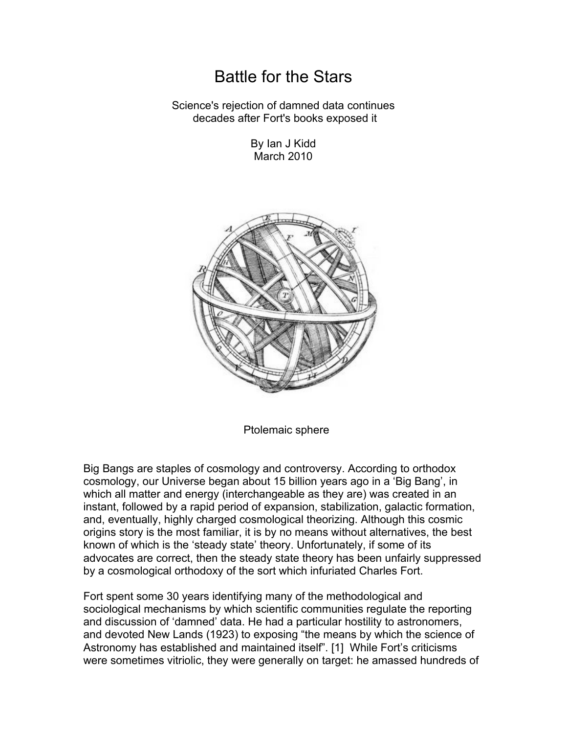## Battle for the Stars

Science's rejection of damned data continues decades after Fort's books exposed it

> By Ian J Kidd March 2010



Ptolemaic sphere

Big Bangs are staples of cosmology and controversy. According to orthodox cosmology, our Universe began about 15 billion years ago in a 'Big Bang', in which all matter and energy (interchangeable as they are) was created in an instant, followed by a rapid period of expansion, stabilization, galactic formation, and, eventually, highly charged cosmological theorizing. Although this cosmic origins story is the most familiar, it is by no means without alternatives, the best known of which is the 'steady state' theory. Unfortunately, if some of its advocates are correct, then the steady state theory has been unfairly suppressed by a cosmological orthodoxy of the sort which infuriated Charles Fort.

Fort spent some 30 years identifying many of the methodological and sociological mechanisms by which scientific communities regulate the reporting and discussion of 'damned' data. He had a particular hostility to astronomers, and devoted New Lands (1923) to exposing "the means by which the science of Astronomy has established and maintained itself". [1] While Fort's criticisms were sometimes vitriolic, they were generally on target: he amassed hundreds of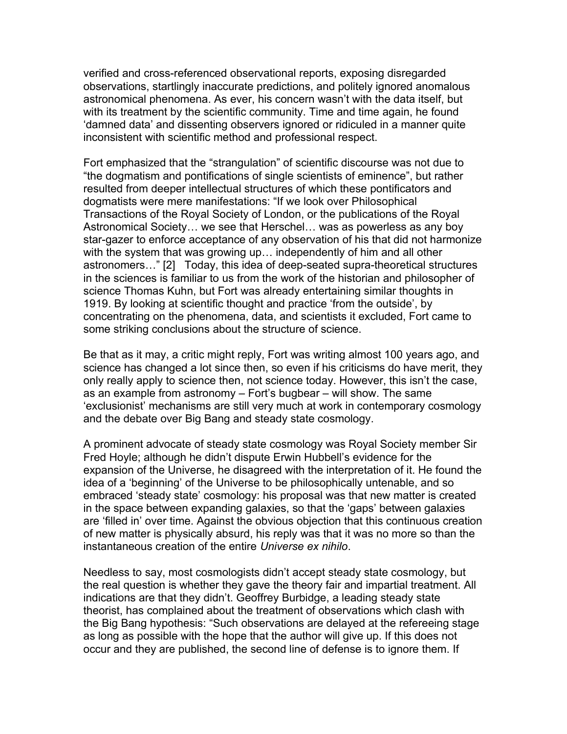verified and cross-referenced observational reports, exposing disregarded observations, startlingly inaccurate predictions, and politely ignored anomalous astronomical phenomena. As ever, his concern wasn't with the data itself, but with its treatment by the scientific community. Time and time again, he found 'damned data' and dissenting observers ignored or ridiculed in a manner quite inconsistent with scientific method and professional respect.

Fort emphasized that the "strangulation" of scientific discourse was not due to "the dogmatism and pontifications of single scientists of eminence", but rather resulted from deeper intellectual structures of which these pontificators and dogmatists were mere manifestations: "If we look over Philosophical Transactions of the Royal Society of London, or the publications of the Royal Astronomical Society… we see that Herschel… was as powerless as any boy star-gazer to enforce acceptance of any observation of his that did not harmonize with the system that was growing up… independently of him and all other astronomers…" [2] Today, this idea of deep-seated supra-theoretical structures in the sciences is familiar to us from the work of the historian and philosopher of science Thomas Kuhn, but Fort was already entertaining similar thoughts in 1919. By looking at scientific thought and practice 'from the outside', by concentrating on the phenomena, data, and scientists it excluded, Fort came to some striking conclusions about the structure of science.

Be that as it may, a critic might reply, Fort was writing almost 100 years ago, and science has changed a lot since then, so even if his criticisms do have merit, they only really apply to science then, not science today. However, this isn't the case, as an example from astronomy – Fort's bugbear – will show. The same 'exclusionist' mechanisms are still very much at work in contemporary cosmology and the debate over Big Bang and steady state cosmology.

A prominent advocate of steady state cosmology was Royal Society member Sir Fred Hoyle; although he didn't dispute Erwin Hubbell's evidence for the expansion of the Universe, he disagreed with the interpretation of it. He found the idea of a 'beginning' of the Universe to be philosophically untenable, and so embraced 'steady state' cosmology: his proposal was that new matter is created in the space between expanding galaxies, so that the 'gaps' between galaxies are 'filled in' over time. Against the obvious objection that this continuous creation of new matter is physically absurd, his reply was that it was no more so than the instantaneous creation of the entire *Universe ex nihilo*.

Needless to say, most cosmologists didn't accept steady state cosmology, but the real question is whether they gave the theory fair and impartial treatment. All indications are that they didn't. Geoffrey Burbidge, a leading steady state theorist, has complained about the treatment of observations which clash with the Big Bang hypothesis: "Such observations are delayed at the refereeing stage as long as possible with the hope that the author will give up. If this does not occur and they are published, the second line of defense is to ignore them. If